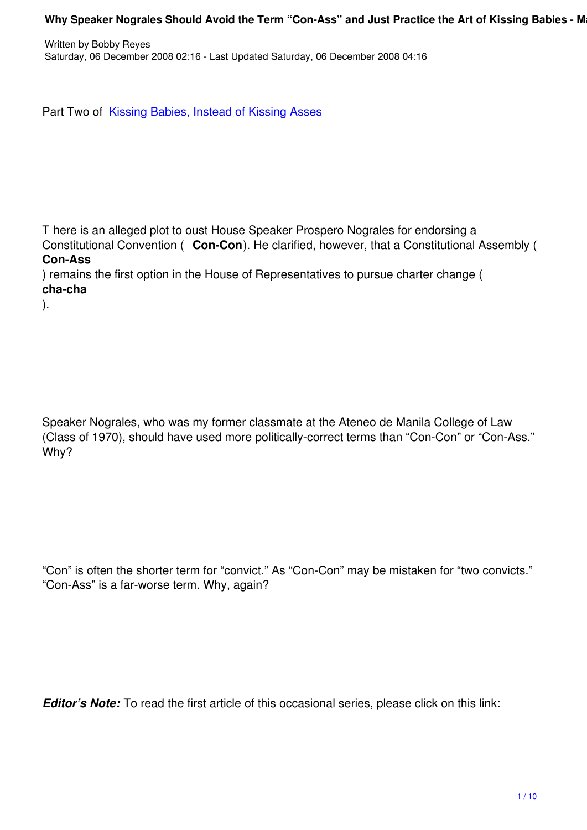Part Two of Kissing Babies, Instead of Kissing Asses

).

T here is an alleged plot to oust House Speaker Prospero Nograles for endorsing a Constitutional Convention ( **Con-Con**). He clarified, however, that a Constitutional Assembly ( **Con-Ass**

) remains the first option in the House of Representatives to pursue charter change ( **cha-cha**

Speaker Nograles, who was my former classmate at the Ateneo de Manila College of Law (Class of 1970), should have used more politically-correct terms than "Con-Con" or "Con-Ass." Why?

"Con" is often the shorter term for "convict." As "Con-Con" may be mistaken for "two convicts." "Con-Ass" is a far-worse term. Why, again?

*Editor's Note:* To read the first article of this occasional series, please click on this link: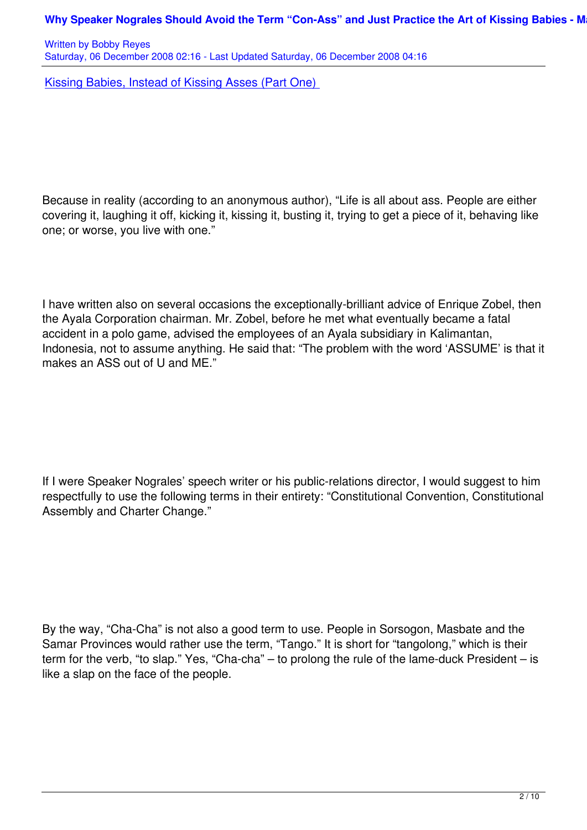Kissing Babies, Instead of Kissing Asses (Part One)

Because in reality (according to an anonymous author), "Life is all about ass. People are either covering it, laughing it off, kicking it, kissing it, busting it, trying to get a piece of it, behaving like one; or worse, you live with one."

I have written also on several occasions the exceptionally-brilliant advice of Enrique Zobel, then the Ayala Corporation chairman. Mr. Zobel, before he met what eventually became a fatal accident in a polo game, advised the employees of an Ayala subsidiary in Kalimantan, Indonesia, not to assume anything. He said that: "The problem with the word 'ASSUME' is that it makes an ASS out of U and ME."

If I were Speaker Nograles' speech writer or his public-relations director, I would suggest to him respectfully to use the following terms in their entirety: "Constitutional Convention, Constitutional Assembly and Charter Change."

By the way, "Cha-Cha" is not also a good term to use. People in Sorsogon, Masbate and the Samar Provinces would rather use the term, "Tango." It is short for "tangolong," which is their term for the verb, "to slap." Yes, "Cha-cha" – to prolong the rule of the lame-duck President – is like a slap on the face of the people.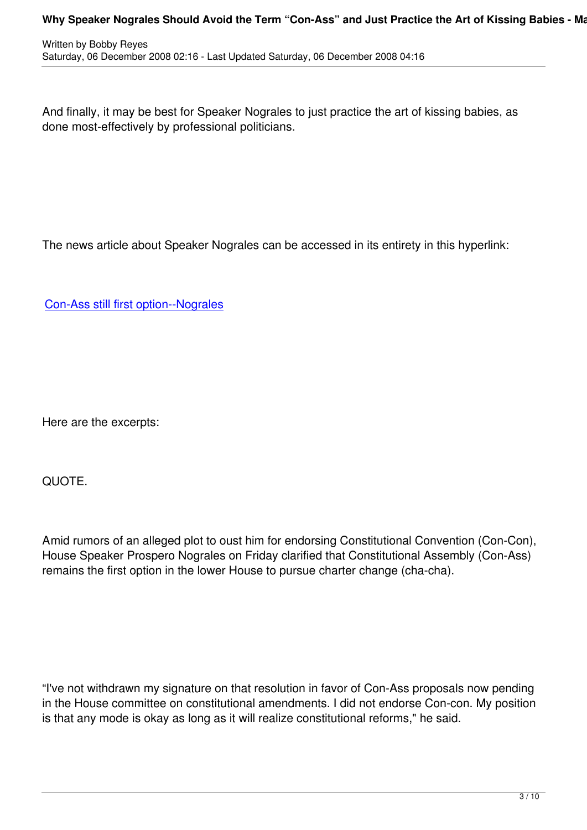And finally, it may be best for Speaker Nograles to just practice the art of kissing babies, as done most-effectively by professional politicians.

The news article about Speaker Nograles can be accessed in its entirety in this hyperlink:

Con-Ass still first option--Nograles

Here are the excerpts:

written by Bobby Reyes and the Bobby Reyes and the Bobby Reyes and the Bobby Reyes and the Bobby Reyes and the

QUOTE.

Amid rumors of an alleged plot to oust him for endorsing Constitutional Convention (Con-Con), House Speaker Prospero Nograles on Friday clarified that Constitutional Assembly (Con-Ass) remains the first option in the lower House to pursue charter change (cha-cha).

"I've not withdrawn my signature on that resolution in favor of Con-Ass proposals now pending in the House committee on constitutional amendments. I did not endorse Con-con. My position is that any mode is okay as long as it will realize constitutional reforms," he said.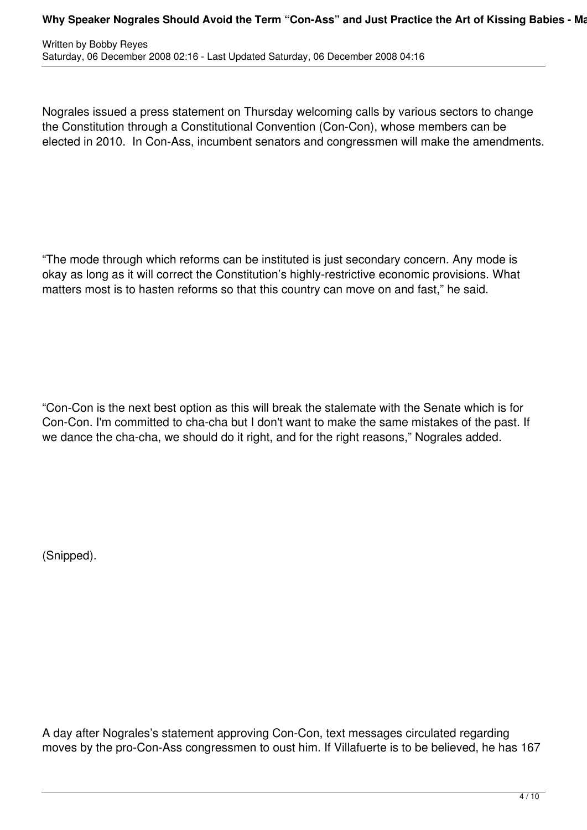Nograles issued a press statement on Thursday welcoming calls by various sectors to change the Constitution through a Constitutional Convention (Con-Con), whose members can be elected in 2010. In Con-Ass, incumbent senators and congressmen will make the amendments.

"The mode through which reforms can be instituted is just secondary concern. Any mode is okay as long as it will correct the Constitution's highly-restrictive economic provisions. What matters most is to hasten reforms so that this country can move on and fast," he said.

"Con-Con is the next best option as this will break the stalemate with the Senate which is for Con-Con. I'm committed to cha-cha but I don't want to make the same mistakes of the past. If we dance the cha-cha, we should do it right, and for the right reasons," Nograles added.

(Snipped).

A day after Nograles's statement approving Con-Con, text messages circulated regarding moves by the pro-Con-Ass congressmen to oust him. If Villafuerte is to be believed, he has 167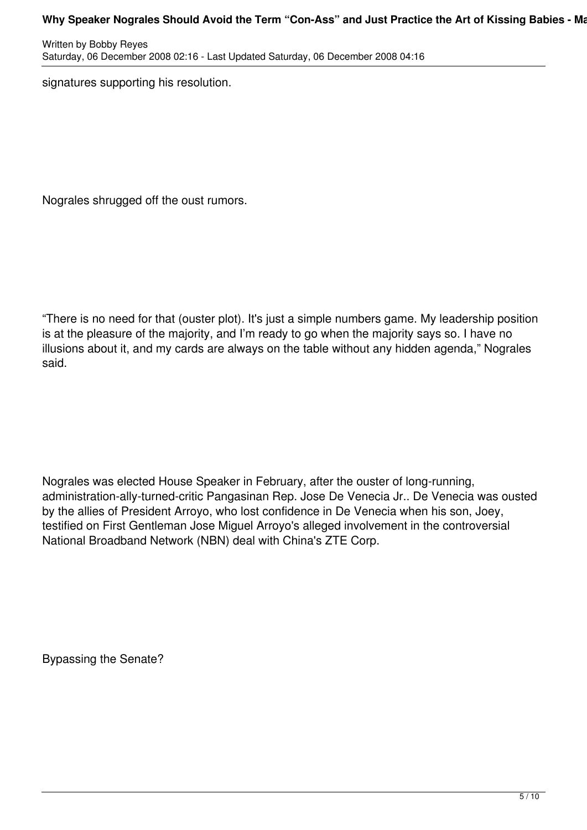Written by Bobby Reyes Saturday, 06 December 2008 02:16 - Last Updated Saturday, 06 December 2008 04:16

signatures supporting his resolution.

Nograles shrugged off the oust rumors.

"There is no need for that (ouster plot). It's just a simple numbers game. My leadership position is at the pleasure of the majority, and I'm ready to go when the majority says so. I have no illusions about it, and my cards are always on the table without any hidden agenda," Nograles said.

Nograles was elected House Speaker in February, after the ouster of long-running, administration-ally-turned-critic Pangasinan Rep. Jose De Venecia Jr.. De Venecia was ousted by the allies of President Arroyo, who lost confidence in De Venecia when his son, Joey, testified on First Gentleman Jose Miguel Arroyo's alleged involvement in the controversial National Broadband Network (NBN) deal with China's ZTE Corp.

Bypassing the Senate?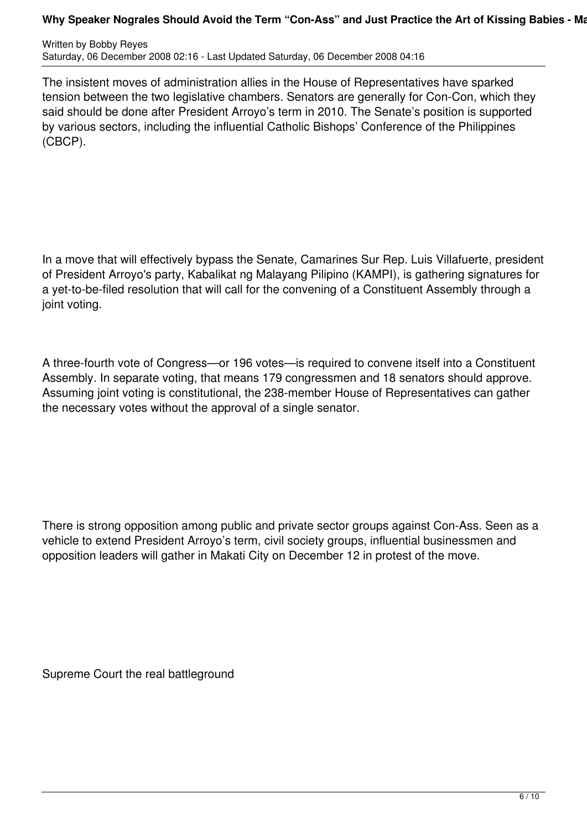Written by Bobby Reyes Saturday, 06 December 2008 02:16 - Last Updated Saturday, 06 December 2008 04:16

The insistent moves of administration allies in the House of Representatives have sparked tension between the two legislative chambers. Senators are generally for Con-Con, which they said should be done after President Arroyo's term in 2010. The Senate's position is supported by various sectors, including the influential Catholic Bishops' Conference of the Philippines (CBCP).

In a move that will effectively bypass the Senate, Camarines Sur Rep. Luis Villafuerte, president of President Arroyo's party, Kabalikat ng Malayang Pilipino (KAMPI), is gathering signatures for a yet-to-be-filed resolution that will call for the convening of a Constituent Assembly through a joint voting.

A three-fourth vote of Congress—or 196 votes—is required to convene itself into a Constituent Assembly. In separate voting, that means 179 congressmen and 18 senators should approve. Assuming joint voting is constitutional, the 238-member House of Representatives can gather the necessary votes without the approval of a single senator.

There is strong opposition among public and private sector groups against Con-Ass. Seen as a vehicle to extend President Arroyo's term, civil society groups, influential businessmen and opposition leaders will gather in Makati City on December 12 in protest of the move.

Supreme Court the real battleground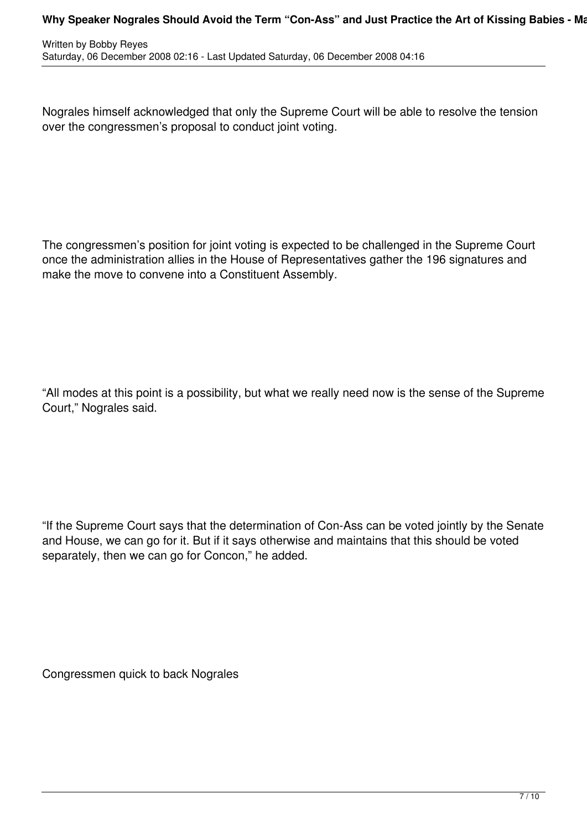Nograles himself acknowledged that only the Supreme Court will be able to resolve the tension over the congressmen's proposal to conduct joint voting.

The congressmen's position for joint voting is expected to be challenged in the Supreme Court once the administration allies in the House of Representatives gather the 196 signatures and make the move to convene into a Constituent Assembly.

"All modes at this point is a possibility, but what we really need now is the sense of the Supreme Court," Nograles said.

"If the Supreme Court says that the determination of Con-Ass can be voted jointly by the Senate and House, we can go for it. But if it says otherwise and maintains that this should be voted separately, then we can go for Concon," he added.

Congressmen quick to back Nograles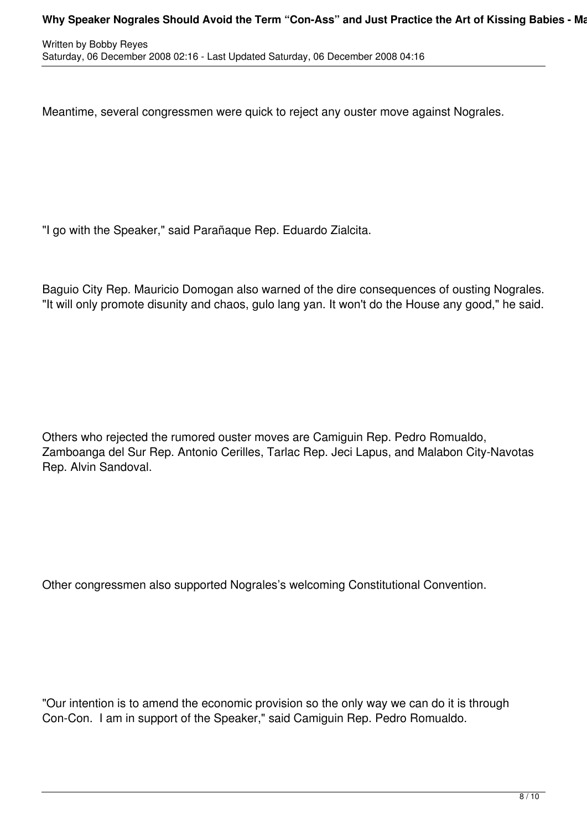Meantime, several congressmen were quick to reject any ouster move against Nograles.

"I go with the Speaker," said Parañaque Rep. Eduardo Zialcita.

Baguio City Rep. Mauricio Domogan also warned of the dire consequences of ousting Nograles. "It will only promote disunity and chaos, gulo lang yan. It won't do the House any good," he said.

Others who rejected the rumored ouster moves are Camiguin Rep. Pedro Romualdo, Zamboanga del Sur Rep. Antonio Cerilles, Tarlac Rep. Jeci Lapus, and Malabon City-Navotas Rep. Alvin Sandoval.

Other congressmen also supported Nograles's welcoming Constitutional Convention.

"Our intention is to amend the economic provision so the only way we can do it is through Con-Con. I am in support of the Speaker," said Camiguin Rep. Pedro Romualdo.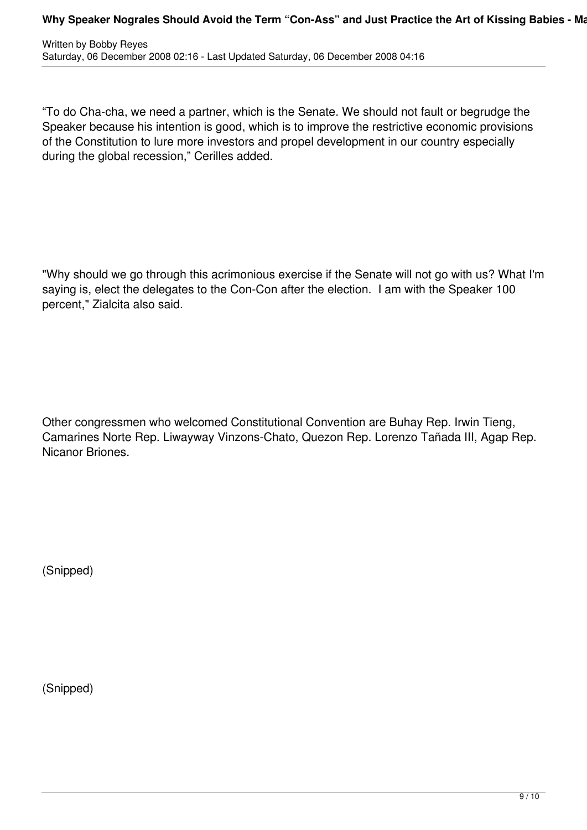| Written by Bobby Reyes                                                           |  |
|----------------------------------------------------------------------------------|--|
| Saturday, 06 December 2008 02:16 - Last Updated Saturday, 06 December 2008 04:16 |  |

"To do Cha-cha, we need a partner, which is the Senate. We should not fault or begrudge the Speaker because his intention is good, which is to improve the restrictive economic provisions of the Constitution to lure more investors and propel development in our country especially during the global recession," Cerilles added.

"Why should we go through this acrimonious exercise if the Senate will not go with us? What I'm saying is, elect the delegates to the Con-Con after the election. I am with the Speaker 100 percent," Zialcita also said.

Other congressmen who welcomed Constitutional Convention are Buhay Rep. Irwin Tieng, Camarines Norte Rep. Liwayway Vinzons-Chato, Quezon Rep. Lorenzo Tañada III, Agap Rep. Nicanor Briones.

(Snipped)

(Snipped)